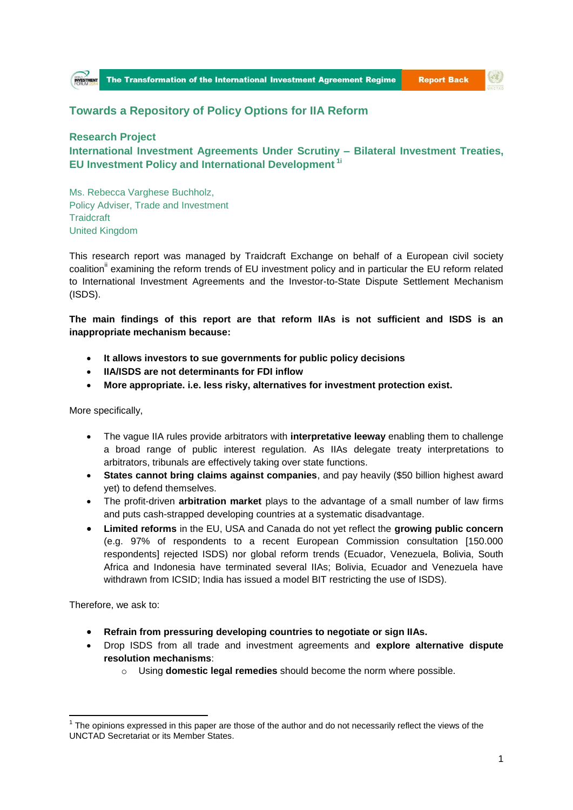

**Report Back** 

(O)

## **Towards a Repository of Policy Options for IIA Reform**

## **Research Project International Investment Agreements Under Scrutiny – Bilateral Investment Treaties, EU Investment Policy and International Development 1i**

Ms. Rebecca Varghese Buchholz, Policy Adviser, Trade and Investment **Traidcraft** United Kingdom

This research report was managed by Traidcraft Exchange on behalf of a European civil society coalition<sup>"</sup> examining the reform trends of EU investment policy and in particular the EU reform related to International Investment Agreements and the Investor-to-State Dispute Settlement Mechanism (ISDS).

**The main findings of this report are that reform IIAs is not sufficient and ISDS is an inappropriate mechanism because:**

- **It allows investors to sue governments for public policy decisions**
- **IIA/ISDS are not determinants for FDI inflow**
- **More appropriate. i.e. less risky, alternatives for investment protection exist.**

More specifically,

- The vague IIA rules provide arbitrators with **interpretative leeway** enabling them to challenge a broad range of public interest regulation. As IIAs delegate treaty interpretations to arbitrators, tribunals are effectively taking over state functions.
- **States cannot bring claims against companies**, and pay heavily (\$50 billion highest award yet) to defend themselves.
- The profit-driven **arbitration market** plays to the advantage of a small number of law firms and puts cash-strapped developing countries at a systematic disadvantage.
- **Limited reforms** in the EU, USA and Canada do not yet reflect the **growing public concern** (e.g. 97% of respondents to a recent European Commission consultation [150.000 respondents] rejected ISDS) nor global reform trends (Ecuador, Venezuela, Bolivia, South Africa and Indonesia have terminated several IIAs; Bolivia, Ecuador and Venezuela have withdrawn from ICSID; India has issued a model BIT restricting the use of ISDS).

Therefore, we ask to:

**.** 

- **Refrain from pressuring developing countries to negotiate or sign IIAs.**
- Drop ISDS from all trade and investment agreements and **explore alternative dispute resolution mechanisms**:
	- o Using **domestic legal remedies** should become the norm where possible.

 $1$  The opinions expressed in this paper are those of the author and do not necessarily reflect the views of the UNCTAD Secretariat or its Member States.